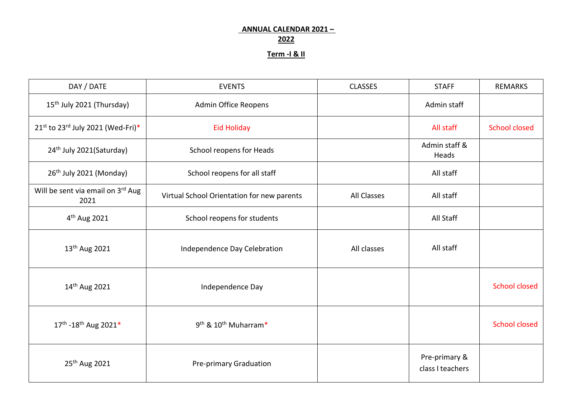## **ANNUAL CALENDAR 2021 – 2022**

## **Term -I & II**

| DAY / DATE                                | <b>EVENTS</b>                                | <b>CLASSES</b>     | <b>STAFF</b>                      | <b>REMARKS</b>       |
|-------------------------------------------|----------------------------------------------|--------------------|-----------------------------------|----------------------|
| 15 <sup>th</sup> July 2021 (Thursday)     | Admin Office Reopens                         |                    | Admin staff                       |                      |
| 21st to 23rd July 2021 (Wed-Fri)*         | <b>Eid Holiday</b>                           |                    | All staff                         | <b>School closed</b> |
| 24 <sup>th</sup> July 2021(Saturday)      | School reopens for Heads                     |                    | Admin staff &<br>Heads            |                      |
| 26 <sup>th</sup> July 2021 (Monday)       | School reopens for all staff                 |                    | All staff                         |                      |
| Will be sent via email on 3rd Aug<br>2021 | Virtual School Orientation for new parents   | <b>All Classes</b> | All staff                         |                      |
| 4 <sup>th</sup> Aug 2021                  | School reopens for students                  |                    | All Staff                         |                      |
| 13 <sup>th</sup> Aug 2021                 | Independence Day Celebration                 | All classes        | All staff                         |                      |
| 14 <sup>th</sup> Aug 2021                 | Independence Day                             |                    |                                   | <b>School closed</b> |
| 17th - 18th Aug 2021*                     | 9 <sup>th</sup> & 10 <sup>th</sup> Muharram* |                    |                                   | <b>School closed</b> |
| 25 <sup>th</sup> Aug 2021                 | Pre-primary Graduation                       |                    | Pre-primary &<br>class I teachers |                      |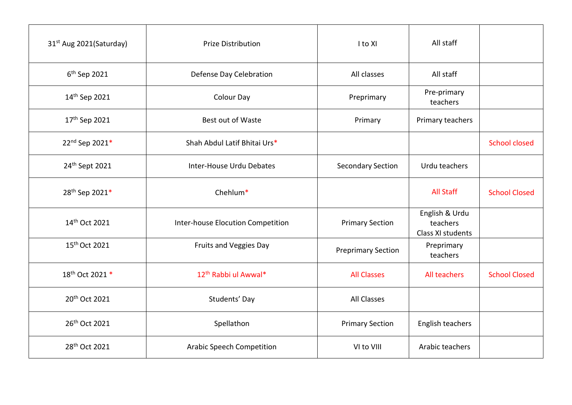| 31 <sup>st</sup> Aug 2021(Saturday) | <b>Prize Distribution</b>         | I to XI                   | All staff                                       |                      |
|-------------------------------------|-----------------------------------|---------------------------|-------------------------------------------------|----------------------|
| 6 <sup>th</sup> Sep 2021            | Defense Day Celebration           | All classes               | All staff                                       |                      |
| 14 <sup>th</sup> Sep 2021           | <b>Colour Day</b>                 | Preprimary                | Pre-primary<br>teachers                         |                      |
| 17 <sup>th</sup> Sep 2021           | Best out of Waste                 | Primary                   | Primary teachers                                |                      |
| 22nd Sep 2021*                      | Shah Abdul Latif Bhitai Urs*      |                           |                                                 | <b>School closed</b> |
| 24 <sup>th</sup> Sept 2021          | Inter-House Urdu Debates          | <b>Secondary Section</b>  | Urdu teachers                                   |                      |
| 28th Sep 2021*                      | Chehlum*                          |                           | <b>All Staff</b>                                | <b>School Closed</b> |
| 14th Oct 2021                       | Inter-house Elocution Competition | <b>Primary Section</b>    | English & Urdu<br>teachers<br>Class XI students |                      |
| 15 <sup>th</sup> Oct 2021           | Fruits and Veggies Day            | <b>Preprimary Section</b> | Preprimary<br>teachers                          |                      |
| 18th Oct 2021 *                     | 12 <sup>th</sup> Rabbi ul Awwal*  | <b>All Classes</b>        | All teachers                                    | <b>School Closed</b> |
| 20th Oct 2021                       | Students' Day                     | <b>All Classes</b>        |                                                 |                      |
| 26th Oct 2021                       | Spellathon                        | <b>Primary Section</b>    | English teachers                                |                      |
| 28 <sup>th</sup> Oct 2021           | <b>Arabic Speech Competition</b>  | VI to VIII                | Arabic teachers                                 |                      |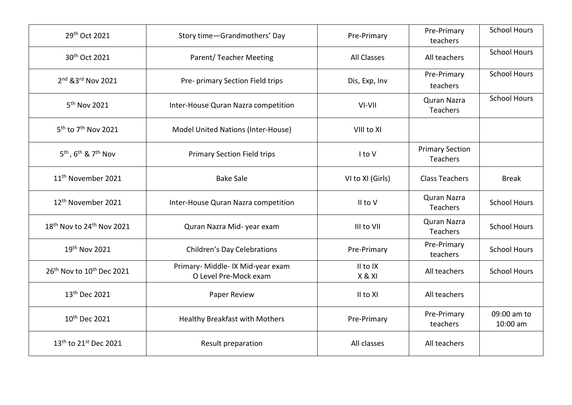| 29th Oct 2021                                           | Story time-Grandmothers' Day                               | Pre-Primary        | Pre-Primary<br>teachers            | <b>School Hours</b>     |
|---------------------------------------------------------|------------------------------------------------------------|--------------------|------------------------------------|-------------------------|
| 30th Oct 2021                                           | Parent/Teacher Meeting                                     | <b>All Classes</b> | All teachers                       | <b>School Hours</b>     |
| 2nd & 3rd Nov 2021                                      | Pre- primary Section Field trips                           | Dis, Exp, Inv      | Pre-Primary<br>teachers            | <b>School Hours</b>     |
| 5 <sup>th</sup> Nov 2021                                | Inter-House Quran Nazra competition                        | VI-VII             | Quran Nazra<br>Teachers            | <b>School Hours</b>     |
| 5 <sup>th</sup> to 7 <sup>th</sup> Nov 2021             | Model United Nations (Inter-House)                         | VIII to XI         |                                    |                         |
| 5 <sup>th</sup> , 6 <sup>th</sup> & 7 <sup>th</sup> Nov | <b>Primary Section Field trips</b>                         | I to V             | <b>Primary Section</b><br>Teachers |                         |
| 11 <sup>th</sup> November 2021                          | <b>Bake Sale</b>                                           | VI to XI (Girls)   | <b>Class Teachers</b>              | <b>Break</b>            |
| 12 <sup>th</sup> November 2021                          | Inter-House Quran Nazra competition                        | II to V            | Quran Nazra<br>Teachers            | <b>School Hours</b>     |
| 18 <sup>th</sup> Nov to 24 <sup>th</sup> Nov 2021       | Quran Nazra Mid- year exam                                 | III to VII         | Quran Nazra<br>Teachers            | <b>School Hours</b>     |
| 19th Nov 2021                                           | <b>Children's Day Celebrations</b>                         | Pre-Primary        | Pre-Primary<br>teachers            | <b>School Hours</b>     |
| 26 <sup>th</sup> Nov to 10 <sup>th</sup> Dec 2021       | Primary- Middle- IX Mid-year exam<br>O Level Pre-Mock exam | II to IX<br>X & XI | All teachers                       | <b>School Hours</b>     |
| 13th Dec 2021                                           | Paper Review                                               | II to XI           | All teachers                       |                         |
| 10 <sup>th</sup> Dec 2021                               | <b>Healthy Breakfast with Mothers</b>                      | Pre-Primary        | Pre-Primary<br>teachers            | 09:00 am to<br>10:00 am |
| 13 <sup>th</sup> to 21 <sup>st</sup> Dec 2021           | Result preparation                                         | All classes        | All teachers                       |                         |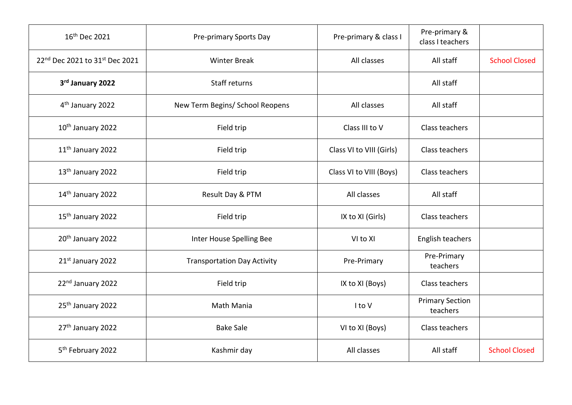| 16 <sup>th</sup> Dec 2021      | Pre-primary Sports Day             | Pre-primary & class I    | Pre-primary &<br>class I teachers  |                      |
|--------------------------------|------------------------------------|--------------------------|------------------------------------|----------------------|
| 22nd Dec 2021 to 31st Dec 2021 | <b>Winter Break</b>                | All classes              | All staff                          | <b>School Closed</b> |
| 3rd January 2022               | Staff returns                      |                          | All staff                          |                      |
| 4 <sup>th</sup> January 2022   | New Term Begins/ School Reopens    | All classes              | All staff                          |                      |
| 10 <sup>th</sup> January 2022  | Field trip                         | Class III to V           | Class teachers                     |                      |
| 11 <sup>th</sup> January 2022  | Field trip                         | Class VI to VIII (Girls) | Class teachers                     |                      |
| 13 <sup>th</sup> January 2022  | Field trip                         | Class VI to VIII (Boys)  | Class teachers                     |                      |
| 14th January 2022              | Result Day & PTM                   | All classes              | All staff                          |                      |
| 15 <sup>th</sup> January 2022  | Field trip                         | IX to XI (Girls)         | Class teachers                     |                      |
| 20 <sup>th</sup> January 2022  | Inter House Spelling Bee           | VI to XI                 | English teachers                   |                      |
| 21st January 2022              | <b>Transportation Day Activity</b> | Pre-Primary              | Pre-Primary<br>teachers            |                      |
| 22nd January 2022              | Field trip                         | IX to XI (Boys)          | Class teachers                     |                      |
| 25 <sup>th</sup> January 2022  | Math Mania                         | I to V                   | <b>Primary Section</b><br>teachers |                      |
| 27 <sup>th</sup> January 2022  | <b>Bake Sale</b>                   | VI to XI (Boys)          | Class teachers                     |                      |
| 5 <sup>th</sup> February 2022  | Kashmir day                        | All classes              | All staff                          | <b>School Closed</b> |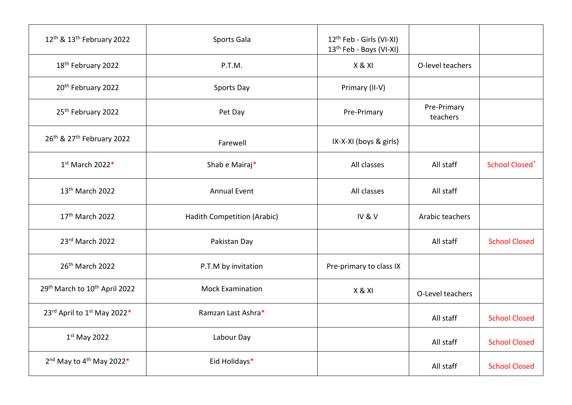| 12 <sup>th</sup> & 13 <sup>th</sup> February 2022 | Sports Gala                 | 12 <sup>th</sup> Feb - Girls (VI-XI)<br>13 <sup>th</sup> Feb - Boys (VI-XI) |                         |                       |
|---------------------------------------------------|-----------------------------|-----------------------------------------------------------------------------|-------------------------|-----------------------|
| 18th February 2022                                | P.T.M.                      | X & XI                                                                      | O-level teachers        |                       |
| 20 <sup>th</sup> February 2022                    | Sports Day                  | Primary (II-V)                                                              |                         |                       |
| 25 <sup>th</sup> February 2022                    | Pet Day                     | Pre-Primary                                                                 | Pre-Primary<br>teachers |                       |
| 26th & 27th February 2022                         | Farewell                    | IX-X-XI (boys & girls)                                                      |                         |                       |
| 1st March 2022*                                   | Shab e Mairaj*              | All classes                                                                 | All staff               | <b>School Closed*</b> |
| 13 <sup>th</sup> March 2022                       | <b>Annual Event</b>         | All classes                                                                 | All staff               |                       |
| 17th March 2022                                   | Hadith Competition (Arabic) | IV&V                                                                        | Arabic teachers         |                       |
| 23rd March 2022                                   | Pakistan Day                |                                                                             | All staff               | <b>School Closed</b>  |
| 26 <sup>th</sup> March 2022                       | P.T.M by invitation         | Pre-primary to class IX                                                     |                         |                       |
| 29th March to 10th April 2022                     | <b>Mock Examination</b>     | X & XI                                                                      | O-Level teachers        |                       |
| 23rd April to 1st May 2022*                       | Ramzan Last Ashra*          |                                                                             | All staff               | <b>School Closed</b>  |
| $1st$ May 2022                                    | Labour Day                  |                                                                             | All staff               | <b>School Closed</b>  |
| 2 <sup>nd</sup> May to 4 <sup>th</sup> May 2022*  | Eid Holidays*               |                                                                             | All staff               | <b>School Closed</b>  |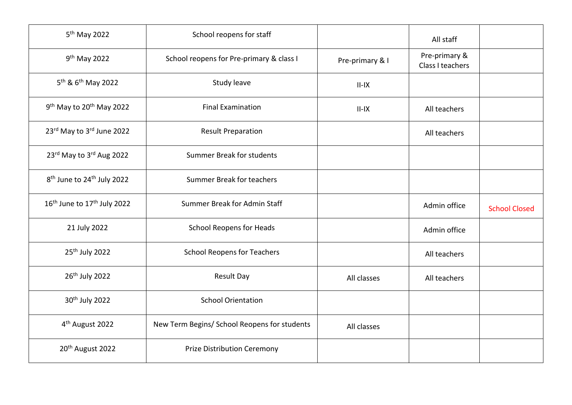| 5 <sup>th</sup> May 2022                            | School reopens for staff                     |                 | All staff                         |                      |
|-----------------------------------------------------|----------------------------------------------|-----------------|-----------------------------------|----------------------|
| 9 <sup>th</sup> May 2022                            | School reopens for Pre-primary & class I     | Pre-primary & I | Pre-primary &<br>Class I teachers |                      |
| 5 <sup>th</sup> & 6 <sup>th</sup> May 2022          | Study leave                                  | $II-IX$         |                                   |                      |
| 9 <sup>th</sup> May to 20 <sup>th</sup> May 2022    | <b>Final Examination</b>                     | $II-IX$         | All teachers                      |                      |
| 23rd May to 3rd June 2022                           | <b>Result Preparation</b>                    |                 | All teachers                      |                      |
| 23rd May to 3rd Aug 2022                            | Summer Break for students                    |                 |                                   |                      |
| 8 <sup>th</sup> June to 24 <sup>th</sup> July 2022  | Summer Break for teachers                    |                 |                                   |                      |
| 16 <sup>th</sup> June to 17 <sup>th</sup> July 2022 | Summer Break for Admin Staff                 |                 | Admin office                      | <b>School Closed</b> |
| 21 July 2022                                        | <b>School Reopens for Heads</b>              |                 | Admin office                      |                      |
| 25 <sup>th</sup> July 2022                          | <b>School Reopens for Teachers</b>           |                 | All teachers                      |                      |
| 26 <sup>th</sup> July 2022                          | <b>Result Day</b>                            | All classes     | All teachers                      |                      |
| 30 <sup>th</sup> July 2022                          | <b>School Orientation</b>                    |                 |                                   |                      |
| 4 <sup>th</sup> August 2022                         | New Term Begins/ School Reopens for students | All classes     |                                   |                      |
| 20 <sup>th</sup> August 2022                        | <b>Prize Distribution Ceremony</b>           |                 |                                   |                      |